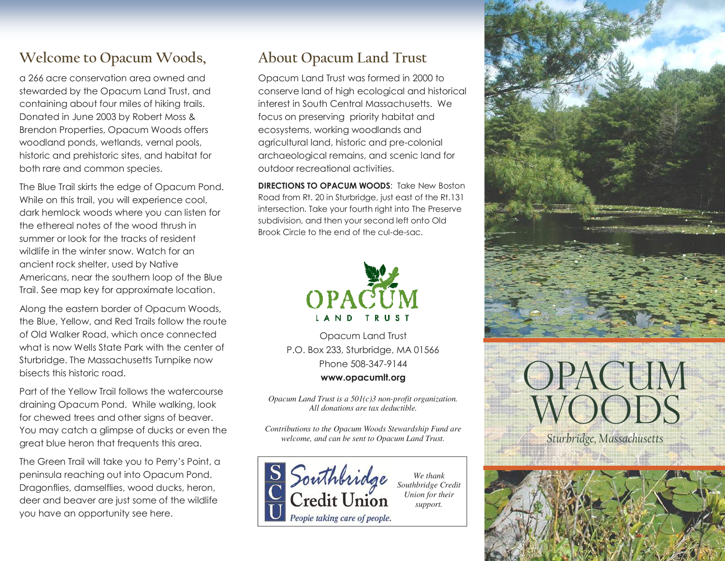## **Welcome to Opacum Woods,**

a 266 acre conservation area owned and stewarded by the Opacum Land Trust, and containing about four miles of hiking trails. Donated in June 2003 by Robert Moss & Brendon Properties, Opacum Woods offers woodland ponds, wetlands, vernal pools, historic and prehistoric sites, and habitat for both rare and common species.

The Blue Trail skirts the edge of Opacum Pond. While on this trail, you will experience cool, dark hemlock woods where you can listen for the ethereal notes of the wood thrush in summer or look for the tracks of resident wildlife in the winter snow. Watch for an ancient rock shelter, used by Native Americans, near the southern loop of the Blue Trail. See map key for approximate location.

Along the eastern border of Opacum Woods, the Blue, Yellow, and Red Trails follow the route of Old Walker Road, which once connected what is now Wells State Park with the center of Sturbridge. The Massachusetts Turnpike now bisects this historic road.

Part of the Yellow Trail follows the watercourse draining Opacum Pond. While walking, look for chewed trees and other signs of beaver. You may catch a glimpse of ducks or even the great blue heron that frequents this area.

The Green Trail will take you to Perry's Point, a peninsula reaching out into Opacum Pond. Dragonflies, damselflies, wood ducks, heron, deer and beaver are just some of the wildlife you have an opportunity see here.

## **About Opacum Land Trust**

Opacum Land Trust was formed in 2000 to conserve land of high ecological and historical interest in South Central Massachusetts. We focus on preserving priority habitat and ecosystems, working woodlands and agricultural land, historic and pre-colonial archaeological remains, and scenic land for outdoor recreational activities.

**DIRECTIONS TO OPACUM WOODS: Take New Boston** Road from Rt. 20 in Sturbridge, just east of the Rt.131 intersection. Take your fourth right into The Preserve subdivision, and then your second left onto Old Brook Circle to the end of the cul-de-sac.



Opacum Land Trust P.O. Box 233, Sturbridge, MA 01566 Phone 508-347-9144 **www.opacumlt.org** 

*Opacum Land Trust is a 501(c)3 non-profit organization. All donations are tax deductible.* 

*Contributions to the Opacum Woods Stewardship Fund are welcome, and can be sent to Opacum Land Trust.* 



*We thank Southbridge Credit Union for their support.*